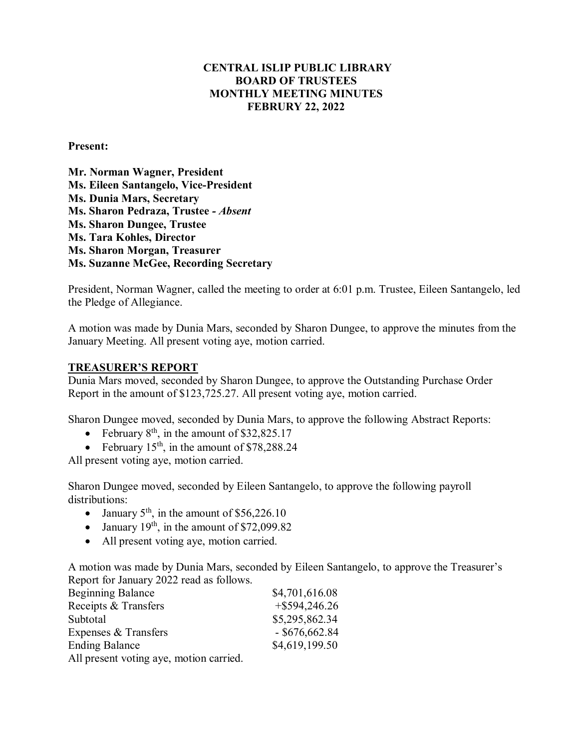# **CENTRAL ISLIP PUBLIC LIBRARY BOARD OF TRUSTEES MONTHLY MEETING MINUTES FEBRURY 22, 2022**

#### **Present:**

**Mr. Norman Wagner, President Ms. Eileen Santangelo, Vice-President Ms. Dunia Mars, Secretary Ms. Sharon Pedraza, Trustee** *- Absent* **Ms. Sharon Dungee, Trustee Ms. Tara Kohles, Director Ms. Sharon Morgan, Treasurer Ms. Suzanne McGee, Recording Secretary**

President, Norman Wagner, called the meeting to order at 6:01 p.m. Trustee, Eileen Santangelo, led the Pledge of Allegiance.

A motion was made by Dunia Mars, seconded by Sharon Dungee, to approve the minutes from the January Meeting. All present voting aye, motion carried.

### **TREASURER'S REPORT**

Dunia Mars moved, seconded by Sharon Dungee, to approve the Outstanding Purchase Order Report in the amount of \$123,725.27. All present voting aye, motion carried.

Sharon Dungee moved, seconded by Dunia Mars, to approve the following Abstract Reports:

- February  $8^{th}$ , in the amount of \$32,825.17
- February  $15<sup>th</sup>$ , in the amount of \$78,288.24

All present voting aye, motion carried.

Sharon Dungee moved, seconded by Eileen Santangelo, to approve the following payroll distributions:

- January  $5<sup>th</sup>$ , in the amount of \$56,226.10
- January  $19<sup>th</sup>$ , in the amount of \$72,099.82
- All present voting aye, motion carried.

A motion was made by Dunia Mars, seconded by Eileen Santangelo, to approve the Treasurer's Report for January 2022 read as follows.

| <b>Beginning Balance</b>                | \$4,701,616.08   |
|-----------------------------------------|------------------|
| Receipts & Transfers                    | $+$ \$594,246.26 |
| Subtotal                                | \$5,295,862.34   |
| Expenses & Transfers                    | $-$ \$676,662.84 |
| <b>Ending Balance</b>                   | \$4,619,199.50   |
| All present voting aye, motion carried. |                  |